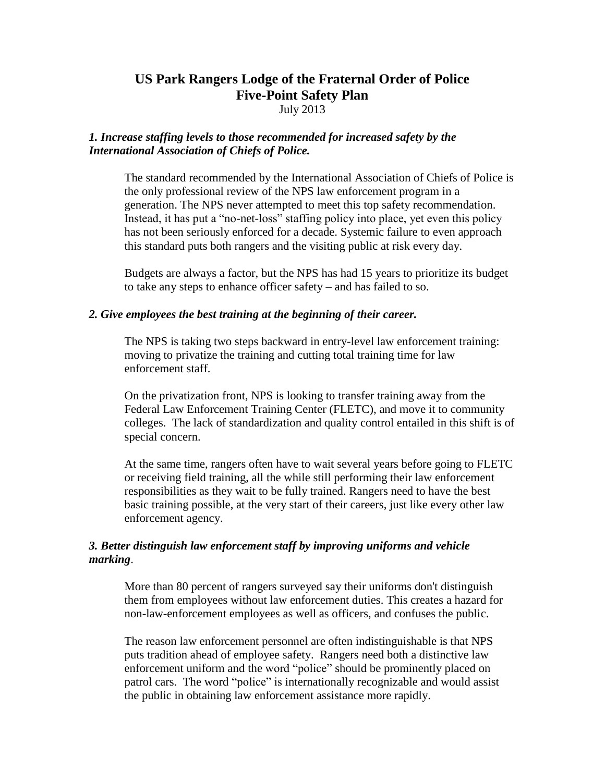# **US Park Rangers Lodge of the Fraternal Order of Police Five-Point Safety Plan**

July 2013

# *1. Increase staffing levels to those recommended for increased safety by the International Association of Chiefs of Police.*

The standard recommended by the International Association of Chiefs of Police is the only professional review of the NPS law enforcement program in a generation. The NPS never attempted to meet this top safety recommendation. Instead, it has put a "no-net-loss" staffing policy into place, yet even this policy has not been seriously enforced for a decade. Systemic failure to even approach this standard puts both rangers and the visiting public at risk every day.

Budgets are always a factor, but the NPS has had 15 years to prioritize its budget to take any steps to enhance officer safety – and has failed to so.

### *2. Give employees the best training at the beginning of their career.*

The NPS is taking two steps backward in entry-level law enforcement training: moving to privatize the training and cutting total training time for law enforcement staff.

On the privatization front, NPS is looking to transfer training away from the Federal Law Enforcement Training Center (FLETC), and move it to community colleges. The lack of standardization and quality control entailed in this shift is of special concern.

At the same time, rangers often have to wait several years before going to FLETC or receiving field training, all the while still performing their law enforcement responsibilities as they wait to be fully trained. Rangers need to have the best basic training possible, at the very start of their careers, just like every other law enforcement agency.

# *3. Better distinguish law enforcement staff by improving uniforms and vehicle marking*.

More than 80 percent of rangers surveyed say their uniforms don't distinguish them from employees without law enforcement duties. This creates a hazard for non-law-enforcement employees as well as officers, and confuses the public.

The reason law enforcement personnel are often indistinguishable is that NPS puts tradition ahead of employee safety. Rangers need both a distinctive law enforcement uniform and the word "police" should be prominently placed on patrol cars. The word "police" is internationally recognizable and would assist the public in obtaining law enforcement assistance more rapidly.